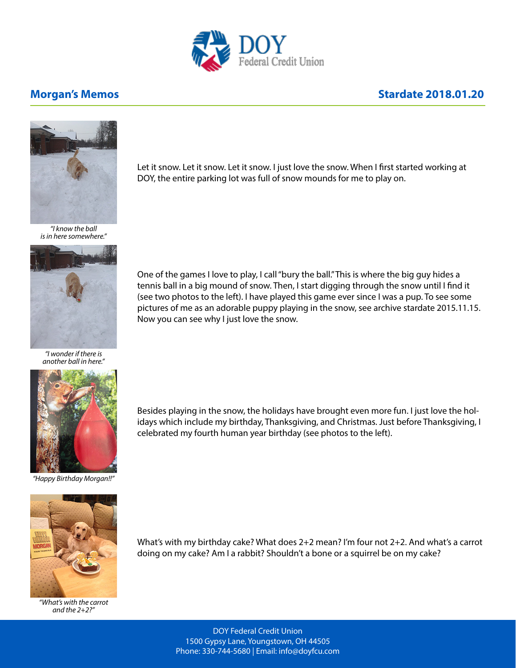

## **Morgan's Memos Morgan's Memos Stardate 2018.01.20**



*"I know the ball is in here somewhere."*



*"I wonder if there is another ball in here."*



*"Happy Birthday Morgan!!"*

Let it snow. Let it snow. Let it snow. I just love the snow. When I first started working at DOY, the entire parking lot was full of snow mounds for me to play on.

One of the games I love to play, I call "bury the ball." This is where the big guy hides a tennis ball in a big mound of snow. Then, I start digging through the snow until I find it (see two photos to the left). I have played this game ever since I was a pup. To see some pictures of me as an adorable puppy playing in the snow, see archive stardate 2015.11.15. Now you can see why I just love the snow.



*"What's with the carrot and the 2+2?"*

Besides playing in the snow, the holidays have brought even more fun. I just love the holidays which include my birthday, Thanksgiving, and Christmas. Just before Thanksgiving, I celebrated my fourth human year birthday (see photos to the left).

What's with my birthday cake? What does 2+2 mean? I'm four not 2+2. And what's a carrot

doing on my cake? Am I a rabbit? Shouldn't a bone or a squirrel be on my cake?